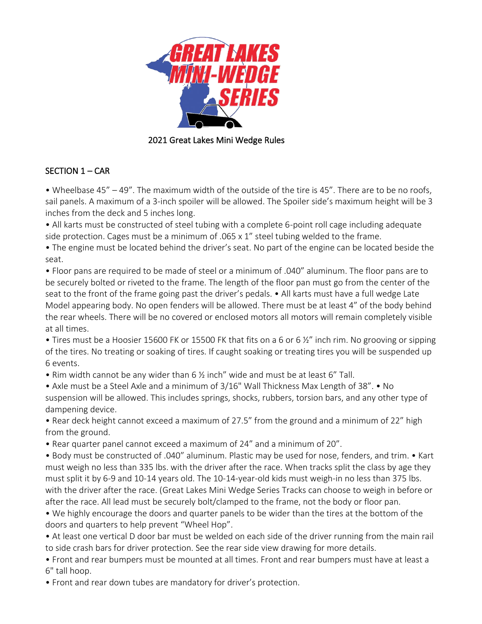

### 2021 Great Lakes Mini Wedge Rules

# SECTION 1 – CAR

• Wheelbase 45" – 49". The maximum width of the outside of the tire is 45". There are to be no roofs, sail panels. A maximum of a 3-inch spoiler will be allowed. The Spoiler side's maximum height will be 3 inches from the deck and 5 inches long.

• All karts must be constructed of steel tubing with a complete 6-point roll cage including adequate side protection. Cages must be a minimum of .065 x 1" steel tubing welded to the frame.

• The engine must be located behind the driver's seat. No part of the engine can be located beside the seat.

• Floor pans are required to be made of steel or a minimum of .040" aluminum. The floor pans are to be securely bolted or riveted to the frame. The length of the floor pan must go from the center of the seat to the front of the frame going past the driver's pedals. • All karts must have a full wedge Late Model appearing body. No open fenders will be allowed. There must be at least 4" of the body behind the rear wheels. There will be no covered or enclosed motors all motors will remain completely visible at all times.

• Tires must be a Hoosier 15600 FK or 15500 FK that fits on a 6 or 6  $\frac{y}{x}$  inch rim. No grooving or sipping of the tires. No treating or soaking of tires. If caught soaking or treating tires you will be suspended up 6 events.

• Rim width cannot be any wider than 6 ½ inch" wide and must be at least 6" Tall.

• Axle must be a Steel Axle and a minimum of 3/16" Wall Thickness Max Length of 38". • No suspension will be allowed. This includes springs, shocks, rubbers, torsion bars, and any other type of dampening device.

• Rear deck height cannot exceed a maximum of 27.5" from the ground and a minimum of 22" high from the ground.

• Rear quarter panel cannot exceed a maximum of 24" and a minimum of 20".

• Body must be constructed of .040" aluminum. Plastic may be used for nose, fenders, and trim. • Kart must weigh no less than 335 lbs. with the driver after the race. When tracks split the class by age they must split it by 6-9 and 10-14 years old. The 10-14-year-old kids must weigh-in no less than 375 lbs. with the driver after the race. (Great Lakes Mini Wedge Series Tracks can choose to weigh in before or after the race. All lead must be securely bolt/clamped to the frame, not the body or floor pan.

• We highly encourage the doors and quarter panels to be wider than the tires at the bottom of the doors and quarters to help prevent "Wheel Hop".

• At least one vertical D door bar must be welded on each side of the driver running from the main rail to side crash bars for driver protection. See the rear side view drawing for more details.

• Front and rear bumpers must be mounted at all times. Front and rear bumpers must have at least a 6" tall hoop.

• Front and rear down tubes are mandatory for driver's protection.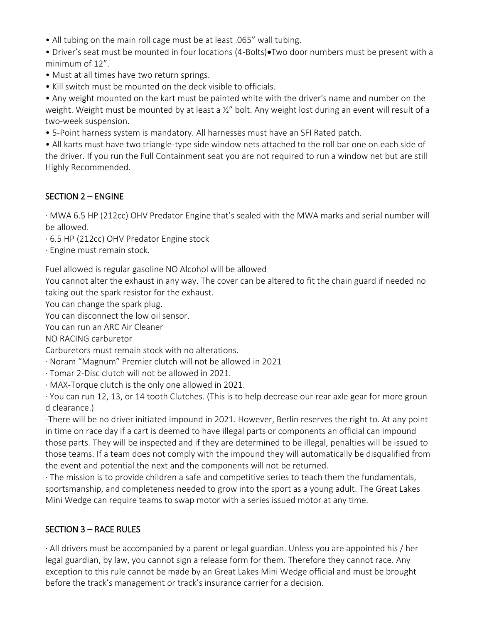- All tubing on the main roll cage must be at least .065" wall tubing.
- Driver's seat must be mounted in four locations (4-Bolts)•Two door numbers must be present with a minimum of 12".
- Must at all times have two return springs.
- Kill switch must be mounted on the deck visible to officials.

• Any weight mounted on the kart must be painted white with the driver's name and number on the weight. Weight must be mounted by at least a ½" bolt. Any weight lost during an event will result of a two-week suspension.

• 5-Point harness system is mandatory. All harnesses must have an SFI Rated patch.

• All karts must have two triangle-type side window nets attached to the roll bar one on each side of the driver. If you run the Full Containment seat you are not required to run a window net but are still Highly Recommended.

# SECTION 2 – ENGINE

· MWA 6.5 HP (212cc) OHV Predator Engine that's sealed with the MWA marks and serial number will be allowed.

- · 6.5 HP (212cc) OHV Predator Engine stock
- · Engine must remain stock.

Fuel allowed is regular gasoline NO Alcohol will be allowed

You cannot alter the exhaust in any way. The cover can be altered to fit the chain guard if needed no taking out the spark resistor for the exhaust.

You can change the spark plug.

You can disconnect the low oil sensor.

You can run an ARC Air Cleaner

NO RACING carburetor

Carburetors must remain stock with no alterations.

- · Noram "Magnum" Premier clutch will not be allowed in 2021
- · Tomar 2-Disc clutch will not be allowed in 2021.
- · MAX-Torque clutch is the only one allowed in 2021.

· You can run 12, 13, or 14 tooth Clutches. (This is to help decrease our rear axle gear for more groun d clearance.)

-There will be no driver initiated impound in 2021. However, Berlin reserves the right to. At any point in time on race day if a cart is deemed to have illegal parts or components an official can impound those parts. They will be inspected and if they are determined to be illegal, penalties will be issued to those teams. If a team does not comply with the impound they will automatically be disqualified from the event and potential the next and the components will not be returned.

· The mission is to provide children a safe and competitive series to teach them the fundamentals, sportsmanship, and completeness needed to grow into the sport as a young adult. The Great Lakes Mini Wedge can require teams to swap motor with a series issued motor at any time.

## SECTION 3 – RACE RULES

· All drivers must be accompanied by a parent or legal guardian. Unless you are appointed his / her legal guardian, by law, you cannot sign a release form for them. Therefore they cannot race. Any exception to this rule cannot be made by an Great Lakes Mini Wedge official and must be brought before the track's management or track's insurance carrier for a decision.